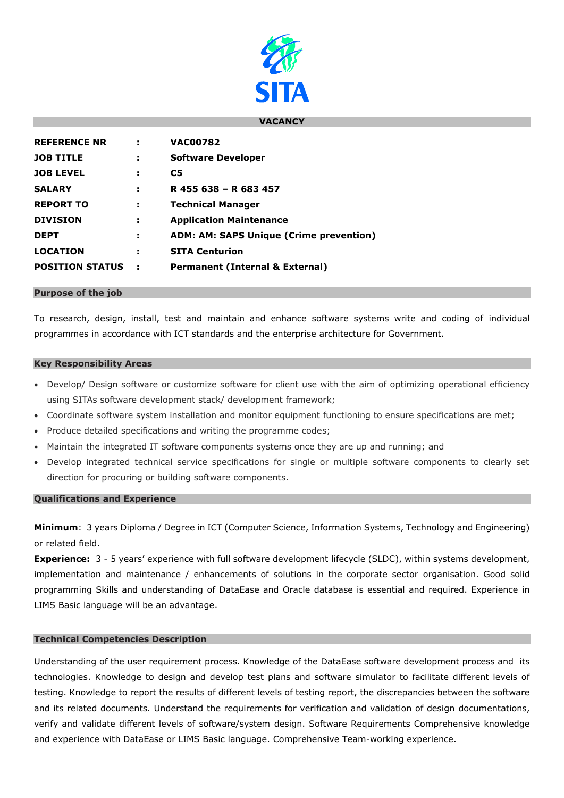

### **VACANCY**

| <b>REFERENCE NR</b>    |   | <b>VAC00782</b>                                |
|------------------------|---|------------------------------------------------|
| <b>JOB TITLE</b>       | н | <b>Software Developer</b>                      |
| <b>JOB LEVEL</b>       | ÷ | C5                                             |
| <b>SALARY</b>          | н | R 455 638 - R 683 457                          |
| <b>REPORT TO</b>       | ÷ | <b>Technical Manager</b>                       |
| <b>DIVISION</b>        | ÷ | <b>Application Maintenance</b>                 |
| <b>DEPT</b>            | ÷ | <b>ADM: AM: SAPS Unique (Crime prevention)</b> |
| <b>LOCATION</b>        | н | <b>SITA Centurion</b>                          |
| <b>POSITION STATUS</b> |   | <b>Permanent (Internal &amp; External)</b>     |

#### **Purpose of the job**

To research, design, install, test and maintain and enhance software systems write and coding of individual programmes in accordance with ICT standards and the enterprise architecture for Government.

#### **Key Responsibility Areas**

- Develop/ Design software or customize software for client use with the aim of optimizing operational efficiency using SITAs software development stack/ development framework;
- Coordinate software system installation and monitor equipment functioning to ensure specifications are met;
- Produce detailed specifications and writing the programme codes;
- Maintain the integrated IT software components systems once they are up and running; and
- Develop integrated technical service specifications for single or multiple software components to clearly set direction for procuring or building software components.

### **Qualifications and Experience**

**Minimum**: 3 years Diploma / Degree in ICT (Computer Science, Information Systems, Technology and Engineering) or related field.

**Experience:** 3 - 5 years' experience with full software development lifecycle (SLDC), within systems development, implementation and maintenance / enhancements of solutions in the corporate sector organisation. Good solid programming Skills and understanding of DataEase and Oracle database is essential and required. Experience in LIMS Basic language will be an advantage.

### **Technical Competencies Description**

Understanding of the user requirement process. Knowledge of the DataEase software development process and its technologies. Knowledge to design and develop test plans and software simulator to facilitate different levels of testing. Knowledge to report the results of different levels of testing report, the discrepancies between the software and its related documents. Understand the requirements for verification and validation of design documentations, verify and validate different levels of software/system design. Software Requirements Comprehensive knowledge and experience with DataEase or LIMS Basic language. Comprehensive Team-working experience.